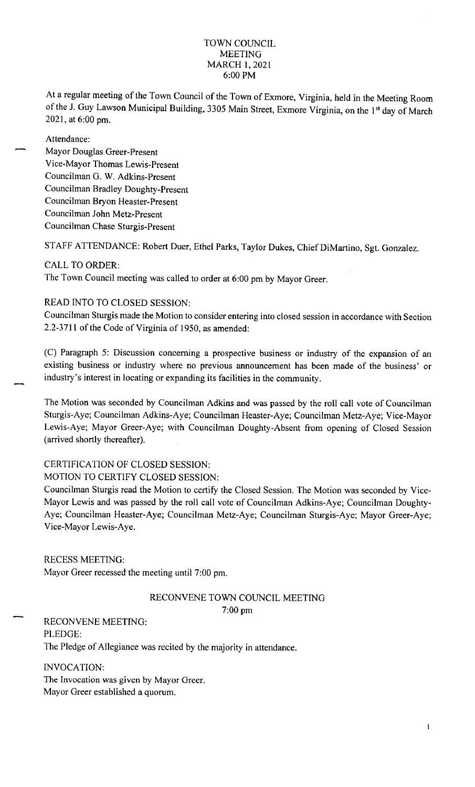### TOWN COUNCIL MEETING MARCH 1, 2021 6: 00 PM

At a regular meeting of the Town Council of the Town of Exmore, Virginia, held in the Meeting Room of the J. Guy Lawson Municipal Building, 3305 Main Street, Exmore Virginia, on the 1<sup>st</sup> day of March 2021, at 6:00 pm.

Attendance:

Mayor Douglas Greer-Present Vice-Mayor Thomas Lewis-Present Councilman G. W. Adkins-Present Councilman Bradley Doughty-Present Councilman Bryon Heaster-Present Councilman John Metz-Present Councilman Chase Sturgis-Present

STAFF ATTENDANCE: Robert Duer, Ethel Parks, Taylor Dukes, Chief DiMartino, Sgt. Gonzalez.

### CALL TO ORDER:

The Town Council meeting was called to order at 6:00 pm by Mayor Greer.

# READ INTO TO CLOSED SESSION:

Councilman Sturgis made the Motion to consider entering into closed session in accordance with Section 2.2-3711 of the Code of Virginia of 1950, as amended:

(C) Paragraph 5: Discussion concerning a prospective business or industry of the expansion of an existing business or industry where no previous announcement has been made of the business' or industry's interest in locating or expanding its facilities in the community.

The Motion was seconded by Councilman Adkins and was passed by the roll call vote of Councilman Sturgis-Aye; Councilman Adkins-Aye; Councilman Heaster-Aye; Councilman Metz-Aye; Vice-Mayor Lewis-Aye; Mayor Greer-Aye; with Councilman Doughty-Absent from opening of Closed Session (arrived shortly thereafter).

#### CERTIFICATION OF CLOSED SESSION:

#### MOTION TO CERTIFY CLOSED SESSION:

Councilman Sturgis read the Motion to certify the Closed Session. The Motion was seconded by Vice-Mayor Lewis and was passed by the roll call vote of Councilman Adkins-Aye; Councilman Doughty-Aye; Councilman Heaster-Aye; Councilman Metz-Aye; Councilman Sturgis-Aye; Mayor Greer-Aye; Vice-Mayor Lewis-Aye.

#### RECESS MEETING:

Mayor Greer recessed the meeting until 7:00 pm.

## RECONVENE TOWN COUNCIL MEETING 7:00 pm

RECONVENE MEETING: PLEDGE: The Pledge of Allegiance was recited by the majority in attendance.

INVOCATION: The Invocation was given by Mayor Greer. Mayor Greer established a quorum.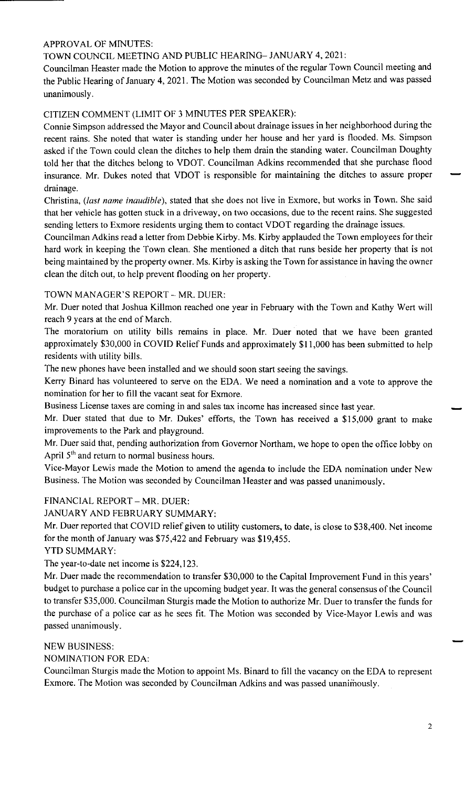# APPROVAL OF MINUTES:

# TOWN COUNCIL MEETING AND PUBLIC HEARING- JANUARY 4, 2021:

Councilman Heaster made the Motion to approve the minutes of the regular Town Council meeting and the Public Hearing of January 4, 2021. The Motion was seconded by Councilman Metz and was passed unanimously.

# CITIZEN COMMENT (LIMIT OF 3 MINUTES PER SPEAKER):

Connie Simpson addressed the Mayor and Council about drainage issues in her neighborhood during the recent rains. She noted that water is standing under her house and her yard is flooded. Ms. Simpson asked if the Town could clean the ditches to help them drain the standing water. Councilman Doughty told her that the ditches belong to VDOT. Councilman Adkins recommended that she purchase flood insurance. Mr. Dukes noted that VDOT is responsible for maintaining the ditches to assure proper drainage.

Christina, (last name inaudible), stated that she does not live in Exmore, but works in Town. She said that her vehicle has gotten stuck in a driveway, on two occasions, due to the recent rains. She suggested sending letters to Exmore residents urging them to contact VDOT regarding the drainage issues.

Councilman Adkins read a letter from Debbie Kirby. Ms. Kirby applauded the Town employees for their hard work in keeping the Town clean. She mentioned a ditch that runs beside her property that is not being maintained by the property owner. Ms. Kirby is asking the Town for assistance in having the owner clean the ditch out, to help prevent flooding on her property.

# TOWN MANAGER'S REPORT - MR. DUER:

Mr. Duer noted that Joshua Killmon reached one year in February with the Town and Kathy Wert will reach 9 years at the end of March.

The moratorium on utility bills remains in place. Mr. Duer noted that we have been granted approximately \$30,000 in COVID Relief Funds and approximately \$11,000 has been submitted to help residents with utility bills.

The new phones have been installed and we should soon start seeing the savings.

Kerry Binard has volunteered to serve on the EDA. We need a nomination and a vote to approve the nomination for her to fill the vacant seat for Exmore.

Business License taxes are coming in and sales tax income has increased since last year.

Mr. Duer stated that due to Mr. Dukes' efforts, the Town has received a \$15,000 grant to make improvements to the Park and playground.

Mr. Duer said that, pending authorization from Governor Northam, we hope to open the office lobby on April 5<sup>th</sup> and return to normal business hours.

Vice-Mayor Lewis made the Motion to amend the agenda to include the EDA nomination under New Business. The Motion was seconded by Councilman Heaster and was passed unanimously.

## FINANCIAL REPORT - MR. DUER:

JANUARY AND FEBRUARY SUMMARY:

Mr. Duer reported that COVID relief given to utility customers, to date, is close to \$38,400. Net income for the month of January was \$75,422 and February was \$19,455.

YTD SUMMARY:

The year-to-date net income is \$224,123.

Mr. Duer made the recommendation to transfer \$30,000 to the Capital Improvement Fund in this years' budget to purchase a police car in the upcoming budget year. It was the general consensus of the Council to transfer \$35,000. Councilman Sturgis made the Motion to authorize Mr. Duer to transfer the funds for the purchase of a police car as he sees fit. The Motion was seconded by Vice-Mayor Lewis and was passed unanimously.

## NEW BUSINESS:

NOMINATION FOR EDA:

Councilman Sturgis made the Motion to appoint Ms. Binard to fill the vacancy on the EDA to represent Exmore. The Motion was seconded by Councilman Adkins and was passed unanimously.